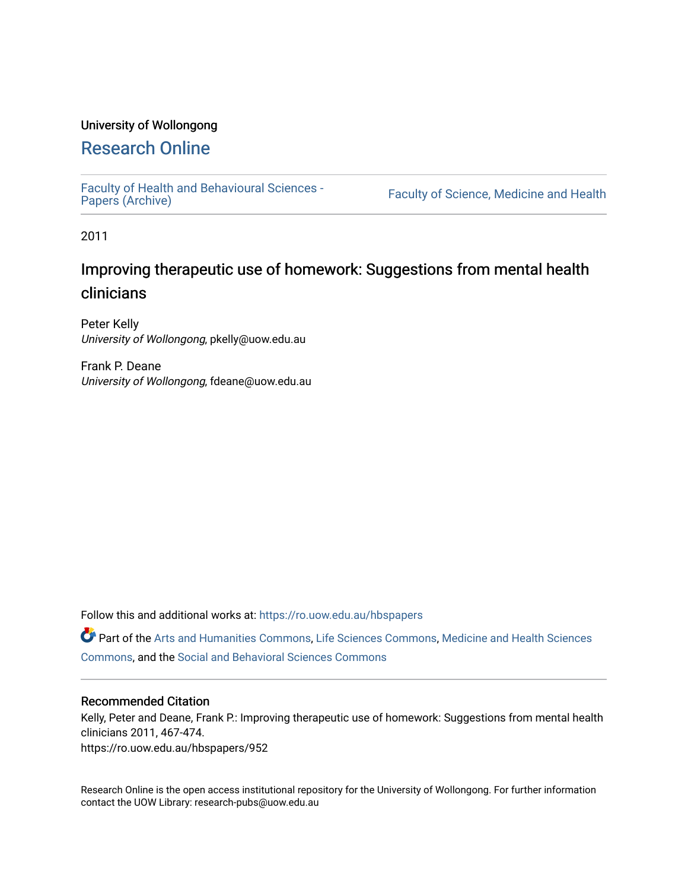### University of Wollongong

# [Research Online](https://ro.uow.edu.au/)

[Faculty of Health and Behavioural Sciences -](https://ro.uow.edu.au/hbspapers)<br>Papers (Archive)

Faculty of Science, Medicine and Health

2011

# Improving therapeutic use of homework: Suggestions from mental health clinicians

Peter Kelly University of Wollongong, pkelly@uow.edu.au

Frank P. Deane University of Wollongong, fdeane@uow.edu.au

Follow this and additional works at: [https://ro.uow.edu.au/hbspapers](https://ro.uow.edu.au/hbspapers?utm_source=ro.uow.edu.au%2Fhbspapers%2F952&utm_medium=PDF&utm_campaign=PDFCoverPages) 

Part of the [Arts and Humanities Commons,](http://network.bepress.com/hgg/discipline/438?utm_source=ro.uow.edu.au%2Fhbspapers%2F952&utm_medium=PDF&utm_campaign=PDFCoverPages) [Life Sciences Commons,](http://network.bepress.com/hgg/discipline/1016?utm_source=ro.uow.edu.au%2Fhbspapers%2F952&utm_medium=PDF&utm_campaign=PDFCoverPages) [Medicine and Health Sciences](http://network.bepress.com/hgg/discipline/648?utm_source=ro.uow.edu.au%2Fhbspapers%2F952&utm_medium=PDF&utm_campaign=PDFCoverPages) [Commons](http://network.bepress.com/hgg/discipline/648?utm_source=ro.uow.edu.au%2Fhbspapers%2F952&utm_medium=PDF&utm_campaign=PDFCoverPages), and the [Social and Behavioral Sciences Commons](http://network.bepress.com/hgg/discipline/316?utm_source=ro.uow.edu.au%2Fhbspapers%2F952&utm_medium=PDF&utm_campaign=PDFCoverPages)

#### Recommended Citation

Kelly, Peter and Deane, Frank P.: Improving therapeutic use of homework: Suggestions from mental health clinicians 2011, 467-474. https://ro.uow.edu.au/hbspapers/952

Research Online is the open access institutional repository for the University of Wollongong. For further information contact the UOW Library: research-pubs@uow.edu.au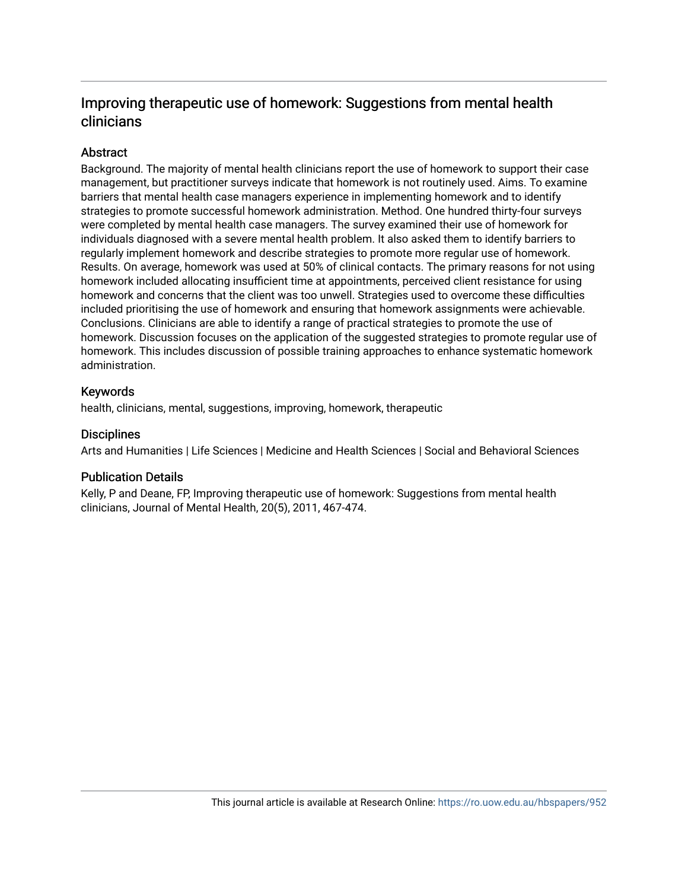# Improving therapeutic use of homework: Suggestions from mental health clinicians

## **Abstract**

Background. The majority of mental health clinicians report the use of homework to support their case management, but practitioner surveys indicate that homework is not routinely used. Aims. To examine barriers that mental health case managers experience in implementing homework and to identify strategies to promote successful homework administration. Method. One hundred thirty-four surveys were completed by mental health case managers. The survey examined their use of homework for individuals diagnosed with a severe mental health problem. It also asked them to identify barriers to regularly implement homework and describe strategies to promote more regular use of homework. Results. On average, homework was used at 50% of clinical contacts. The primary reasons for not using homework included allocating insufficient time at appointments, perceived client resistance for using homework and concerns that the client was too unwell. Strategies used to overcome these difficulties included prioritising the use of homework and ensuring that homework assignments were achievable. Conclusions. Clinicians are able to identify a range of practical strategies to promote the use of homework. Discussion focuses on the application of the suggested strategies to promote regular use of homework. This includes discussion of possible training approaches to enhance systematic homework administration.

### Keywords

health, clinicians, mental, suggestions, improving, homework, therapeutic

### **Disciplines**

Arts and Humanities | Life Sciences | Medicine and Health Sciences | Social and Behavioral Sciences

### Publication Details

Kelly, P and Deane, FP, Improving therapeutic use of homework: Suggestions from mental health clinicians, Journal of Mental Health, 20(5), 2011, 467-474.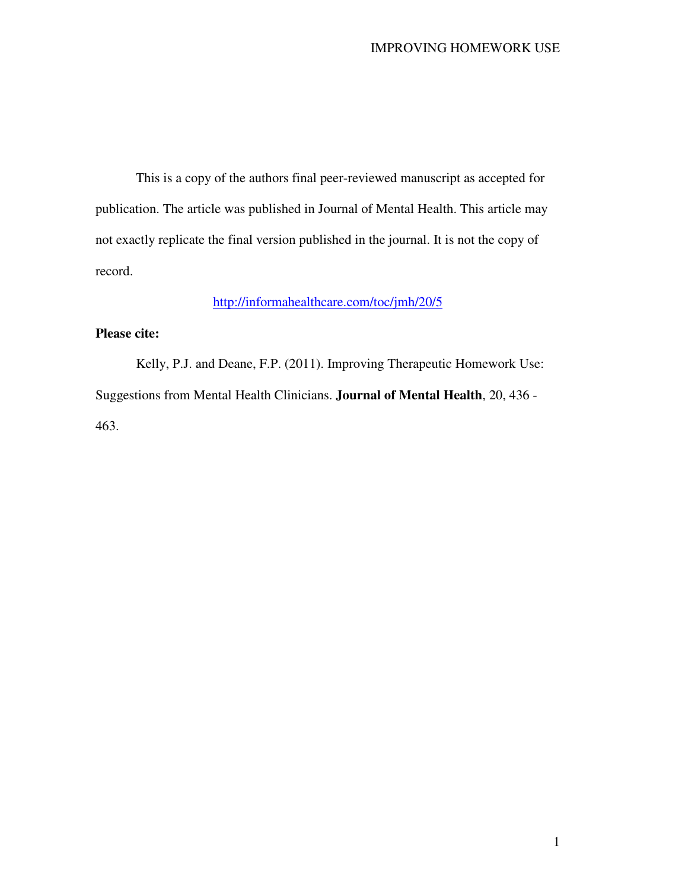This is a copy of the authors final peer-reviewed manuscript as accepted for publication. The article was published in Journal of Mental Health. This article may not exactly replicate the final version published in the journal. It is not the copy of record.

# http://informahealthcare.com/toc/jmh/20/5

## **Please cite:**

Kelly, P.J. and Deane, F.P. (2011). Improving Therapeutic Homework Use: Suggestions from Mental Health Clinicians. **Journal of Mental Health**, 20, 436 - 463.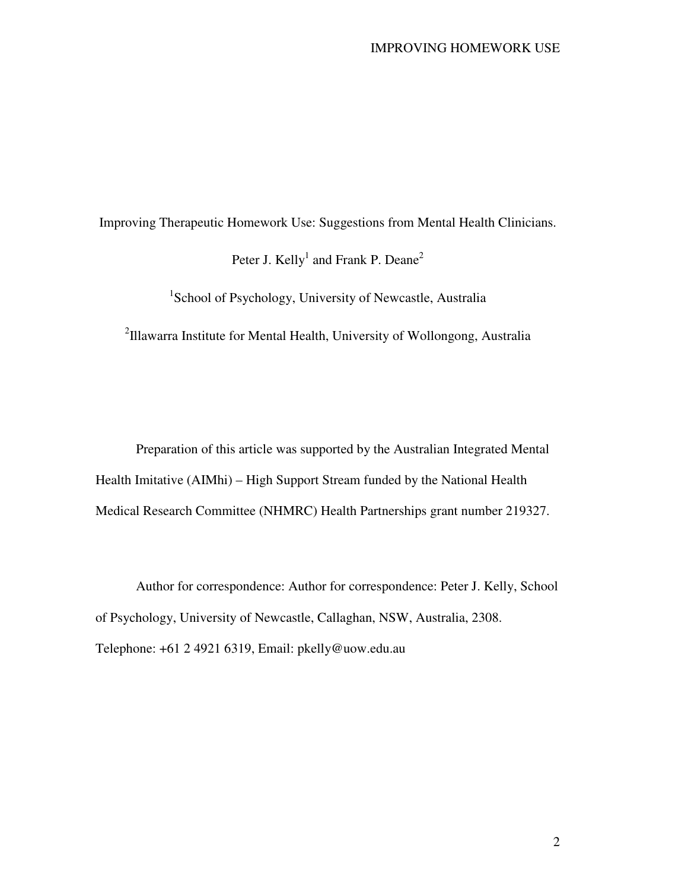Improving Therapeutic Homework Use: Suggestions from Mental Health Clinicians.

Peter J. Kelly<sup>1</sup> and Frank P. Deane<sup>2</sup>

1 School of Psychology, University of Newcastle, Australia

<sup>2</sup>Illawarra Institute for Mental Health, University of Wollongong, Australia

Preparation of this article was supported by the Australian Integrated Mental Health Imitative (AIMhi) – High Support Stream funded by the National Health Medical Research Committee (NHMRC) Health Partnerships grant number 219327.

Author for correspondence: Author for correspondence: Peter J. Kelly, School of Psychology, University of Newcastle, Callaghan, NSW, Australia, 2308. Telephone: +61 2 4921 6319, Email: pkelly@uow.edu.au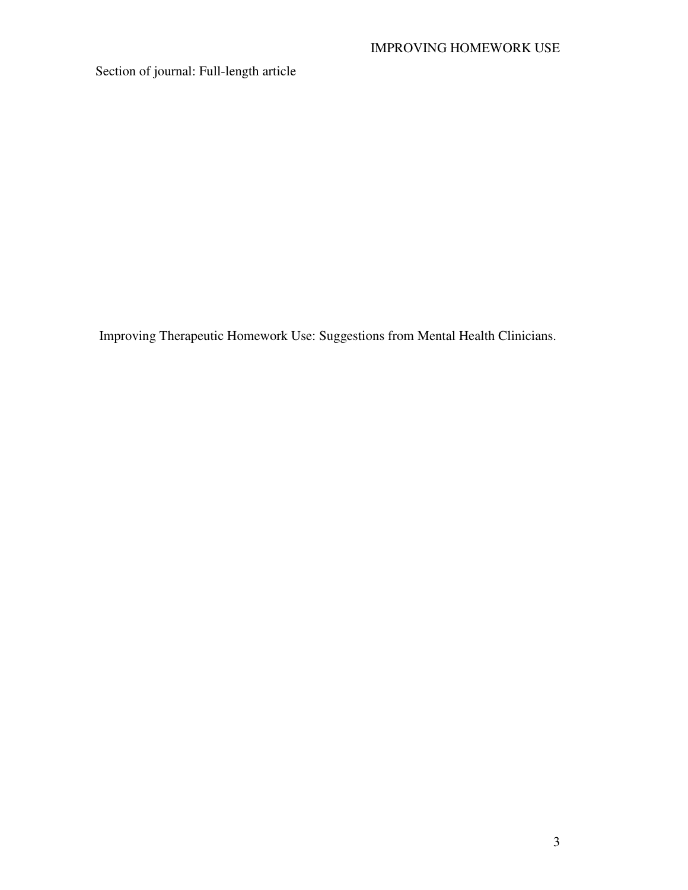Section of journal: Full-length article

Improving Therapeutic Homework Use: Suggestions from Mental Health Clinicians.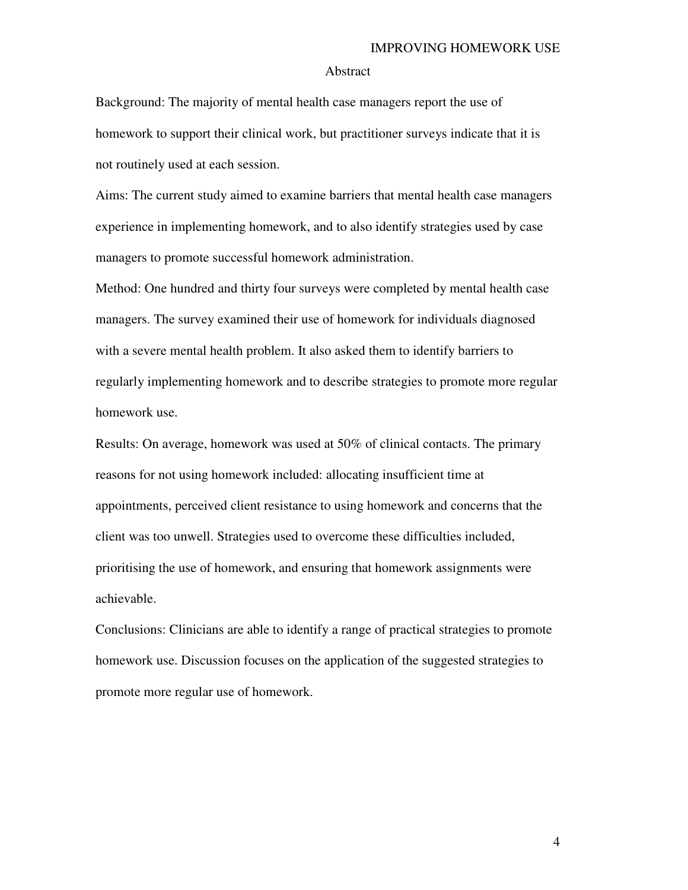#### Abstract

Background: The majority of mental health case managers report the use of homework to support their clinical work, but practitioner surveys indicate that it is not routinely used at each session.

Aims: The current study aimed to examine barriers that mental health case managers experience in implementing homework, and to also identify strategies used by case managers to promote successful homework administration.

Method: One hundred and thirty four surveys were completed by mental health case managers. The survey examined their use of homework for individuals diagnosed with a severe mental health problem. It also asked them to identify barriers to regularly implementing homework and to describe strategies to promote more regular homework use.

Results: On average, homework was used at 50% of clinical contacts. The primary reasons for not using homework included: allocating insufficient time at appointments, perceived client resistance to using homework and concerns that the client was too unwell. Strategies used to overcome these difficulties included, prioritising the use of homework, and ensuring that homework assignments were achievable.

Conclusions: Clinicians are able to identify a range of practical strategies to promote homework use. Discussion focuses on the application of the suggested strategies to promote more regular use of homework.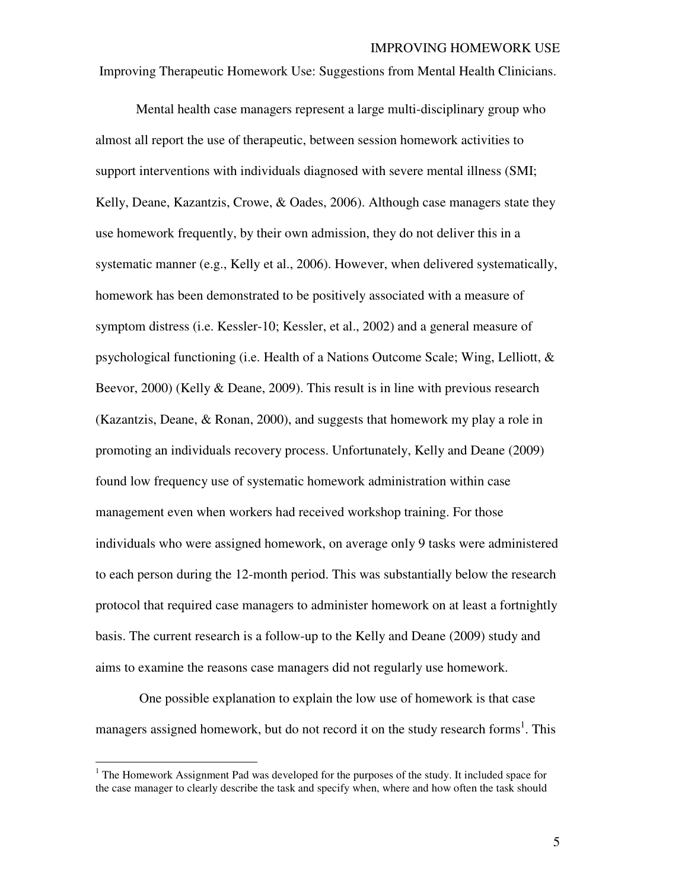Improving Therapeutic Homework Use: Suggestions from Mental Health Clinicians.

Mental health case managers represent a large multi-disciplinary group who almost all report the use of therapeutic, between session homework activities to support interventions with individuals diagnosed with severe mental illness (SMI; Kelly, Deane, Kazantzis, Crowe, & Oades, 2006). Although case managers state they use homework frequently, by their own admission, they do not deliver this in a systematic manner (e.g., Kelly et al., 2006). However, when delivered systematically, homework has been demonstrated to be positively associated with a measure of symptom distress (i.e. Kessler-10; Kessler, et al., 2002) and a general measure of psychological functioning (i.e. Health of a Nations Outcome Scale; Wing, Lelliott, & Beevor, 2000) (Kelly & Deane, 2009). This result is in line with previous research (Kazantzis, Deane, & Ronan, 2000), and suggests that homework my play a role in promoting an individuals recovery process. Unfortunately, Kelly and Deane (2009) found low frequency use of systematic homework administration within case management even when workers had received workshop training. For those individuals who were assigned homework, on average only 9 tasks were administered to each person during the 12-month period. This was substantially below the research protocol that required case managers to administer homework on at least a fortnightly basis. The current research is a follow-up to the Kelly and Deane (2009) study and aims to examine the reasons case managers did not regularly use homework.

 One possible explanation to explain the low use of homework is that case managers assigned homework, but do not record it on the study research forms<sup>1</sup>. This

<sup>&</sup>lt;sup>1</sup> The Homework Assignment Pad was developed for the purposes of the study. It included space for the case manager to clearly describe the task and specify when, where and how often the task should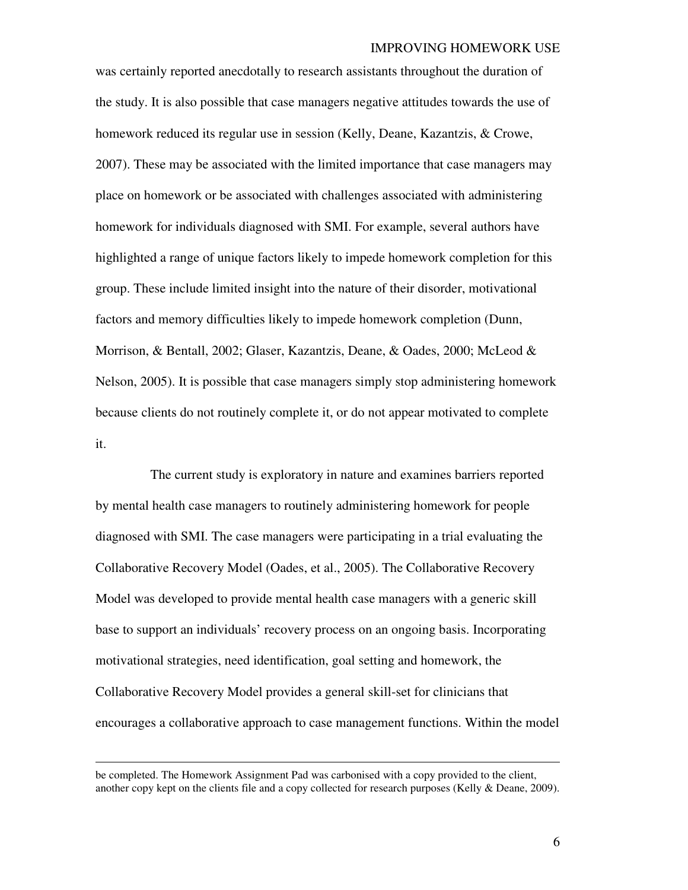was certainly reported anecdotally to research assistants throughout the duration of the study. It is also possible that case managers negative attitudes towards the use of homework reduced its regular use in session (Kelly, Deane, Kazantzis, & Crowe, 2007). These may be associated with the limited importance that case managers may place on homework or be associated with challenges associated with administering homework for individuals diagnosed with SMI. For example, several authors have highlighted a range of unique factors likely to impede homework completion for this group. These include limited insight into the nature of their disorder, motivational factors and memory difficulties likely to impede homework completion (Dunn, Morrison, & Bentall, 2002; Glaser, Kazantzis, Deane, & Oades, 2000; McLeod & Nelson, 2005). It is possible that case managers simply stop administering homework because clients do not routinely complete it, or do not appear motivated to complete it.

 The current study is exploratory in nature and examines barriers reported by mental health case managers to routinely administering homework for people diagnosed with SMI. The case managers were participating in a trial evaluating the Collaborative Recovery Model (Oades, et al., 2005). The Collaborative Recovery Model was developed to provide mental health case managers with a generic skill base to support an individuals' recovery process on an ongoing basis. Incorporating motivational strategies, need identification, goal setting and homework, the Collaborative Recovery Model provides a general skill-set for clinicians that encourages a collaborative approach to case management functions. Within the model

-

be completed. The Homework Assignment Pad was carbonised with a copy provided to the client, another copy kept on the clients file and a copy collected for research purposes (Kelly & Deane, 2009).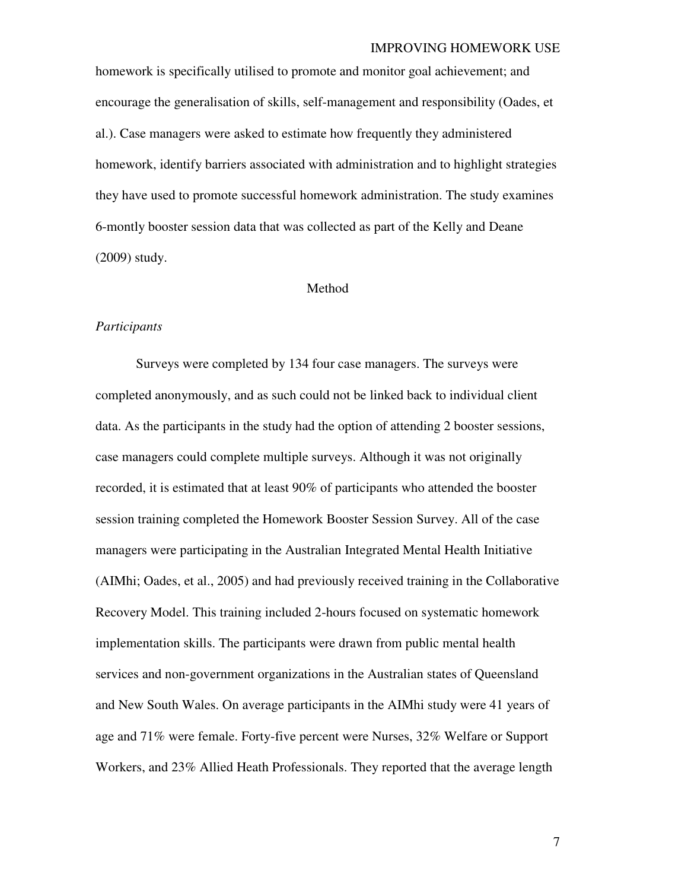homework is specifically utilised to promote and monitor goal achievement; and encourage the generalisation of skills, self-management and responsibility (Oades, et al.). Case managers were asked to estimate how frequently they administered homework, identify barriers associated with administration and to highlight strategies they have used to promote successful homework administration. The study examines 6-montly booster session data that was collected as part of the Kelly and Deane (2009) study.

#### Method

#### *Participants*

Surveys were completed by 134 four case managers. The surveys were completed anonymously, and as such could not be linked back to individual client data. As the participants in the study had the option of attending 2 booster sessions, case managers could complete multiple surveys. Although it was not originally recorded, it is estimated that at least 90% of participants who attended the booster session training completed the Homework Booster Session Survey. All of the case managers were participating in the Australian Integrated Mental Health Initiative (AIMhi; Oades, et al., 2005) and had previously received training in the Collaborative Recovery Model. This training included 2-hours focused on systematic homework implementation skills. The participants were drawn from public mental health services and non-government organizations in the Australian states of Queensland and New South Wales. On average participants in the AIMhi study were 41 years of age and 71% were female. Forty-five percent were Nurses, 32% Welfare or Support Workers, and 23% Allied Heath Professionals. They reported that the average length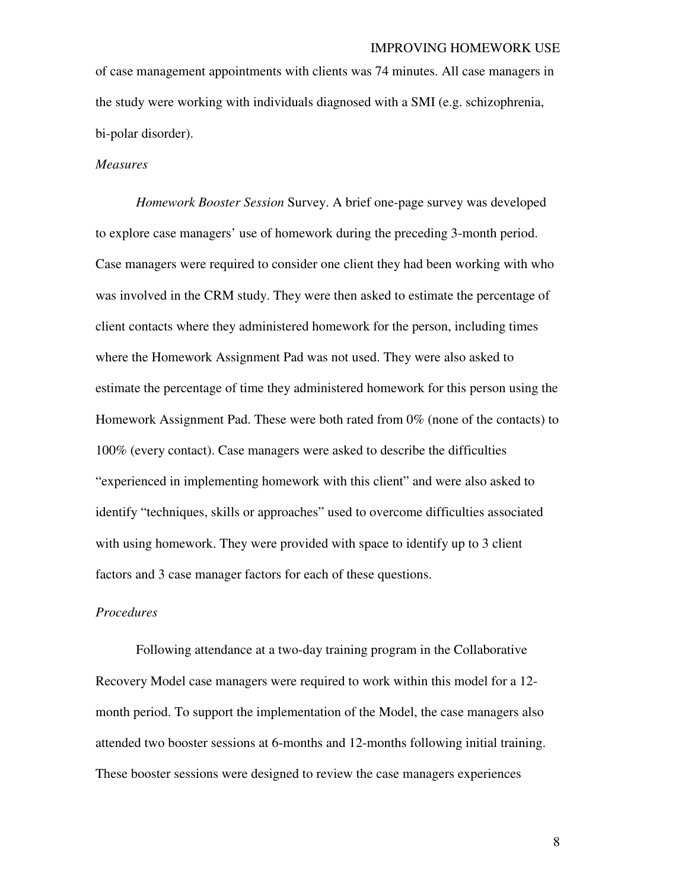of case management appointments with clients was 74 minutes. All case managers in the study were working with individuals diagnosed with a SMI (e.g. schizophrenia, bi-polar disorder).

#### *Measures*

*Homework Booster Session* Survey. A brief one-page survey was developed to explore case managers' use of homework during the preceding 3-month period. Case managers were required to consider one client they had been working with who was involved in the CRM study. They were then asked to estimate the percentage of client contacts where they administered homework for the person, including times where the Homework Assignment Pad was not used. They were also asked to estimate the percentage of time they administered homework for this person using the Homework Assignment Pad. These were both rated from 0% (none of the contacts) to 100% (every contact). Case managers were asked to describe the difficulties "experienced in implementing homework with this client" and were also asked to identify "techniques, skills or approaches" used to overcome difficulties associated with using homework. They were provided with space to identify up to 3 client factors and 3 case manager factors for each of these questions.

### *Procedures*

Following attendance at a two-day training program in the Collaborative Recovery Model case managers were required to work within this model for a 12 month period. To support the implementation of the Model, the case managers also attended two booster sessions at 6-months and 12-months following initial training. These booster sessions were designed to review the case managers experiences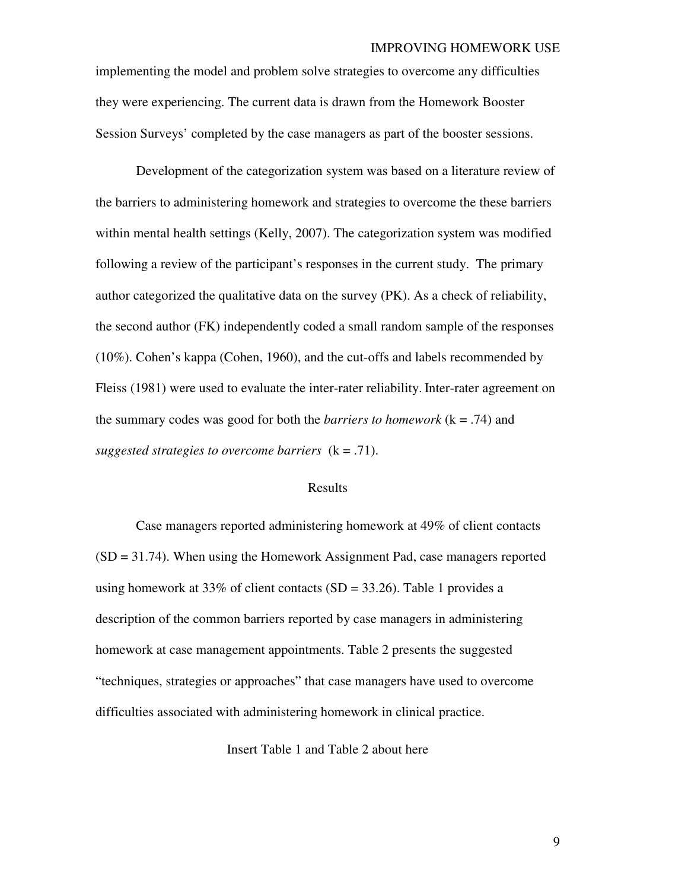implementing the model and problem solve strategies to overcome any difficulties they were experiencing. The current data is drawn from the Homework Booster Session Surveys' completed by the case managers as part of the booster sessions.

 Development of the categorization system was based on a literature review of the barriers to administering homework and strategies to overcome the these barriers within mental health settings (Kelly, 2007). The categorization system was modified following a review of the participant's responses in the current study. The primary author categorized the qualitative data on the survey (PK). As a check of reliability, the second author (FK) independently coded a small random sample of the responses (10%). Cohen's kappa (Cohen, 1960), and the cut-offs and labels recommended by Fleiss (1981) were used to evaluate the inter-rater reliability. Inter-rater agreement on the summary codes was good for both the *barriers to homework* (k = .74) and *suggested strategies to overcome barriers*  $(k = .71)$ .

#### Results

 Case managers reported administering homework at 49% of client contacts  $(SD = 31.74)$ . When using the Homework Assignment Pad, case managers reported using homework at 33% of client contacts (SD = 33.26). Table 1 provides a description of the common barriers reported by case managers in administering homework at case management appointments. Table 2 presents the suggested "techniques, strategies or approaches" that case managers have used to overcome difficulties associated with administering homework in clinical practice.

Insert Table 1 and Table 2 about here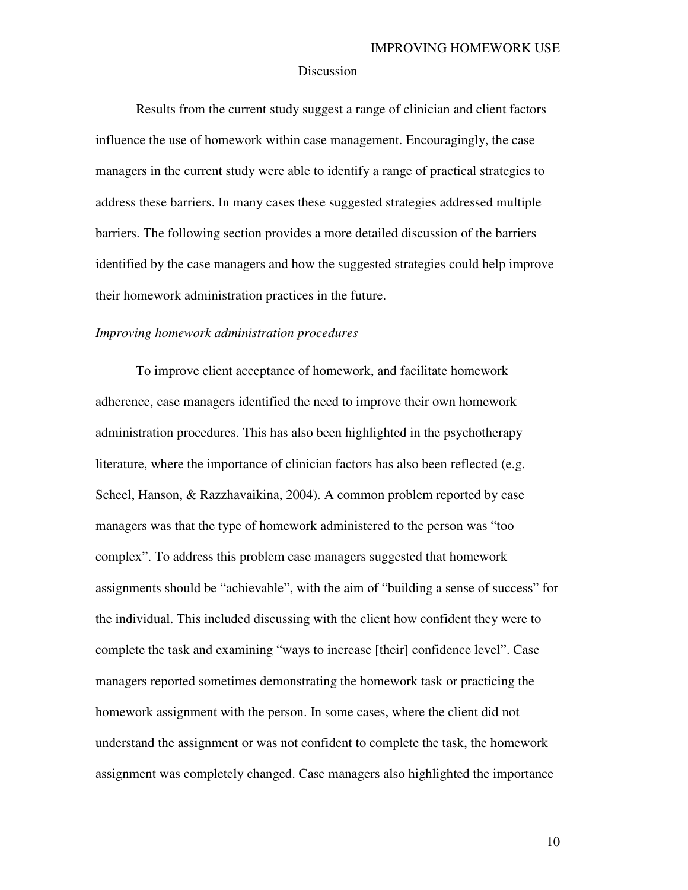#### Discussion

Results from the current study suggest a range of clinician and client factors influence the use of homework within case management. Encouragingly, the case managers in the current study were able to identify a range of practical strategies to address these barriers. In many cases these suggested strategies addressed multiple barriers. The following section provides a more detailed discussion of the barriers identified by the case managers and how the suggested strategies could help improve their homework administration practices in the future.

#### *Improving homework administration procedures*

To improve client acceptance of homework, and facilitate homework adherence, case managers identified the need to improve their own homework administration procedures. This has also been highlighted in the psychotherapy literature, where the importance of clinician factors has also been reflected (e.g. Scheel, Hanson, & Razzhavaikina, 2004). A common problem reported by case managers was that the type of homework administered to the person was "too complex". To address this problem case managers suggested that homework assignments should be "achievable", with the aim of "building a sense of success" for the individual. This included discussing with the client how confident they were to complete the task and examining "ways to increase [their] confidence level". Case managers reported sometimes demonstrating the homework task or practicing the homework assignment with the person. In some cases, where the client did not understand the assignment or was not confident to complete the task, the homework assignment was completely changed. Case managers also highlighted the importance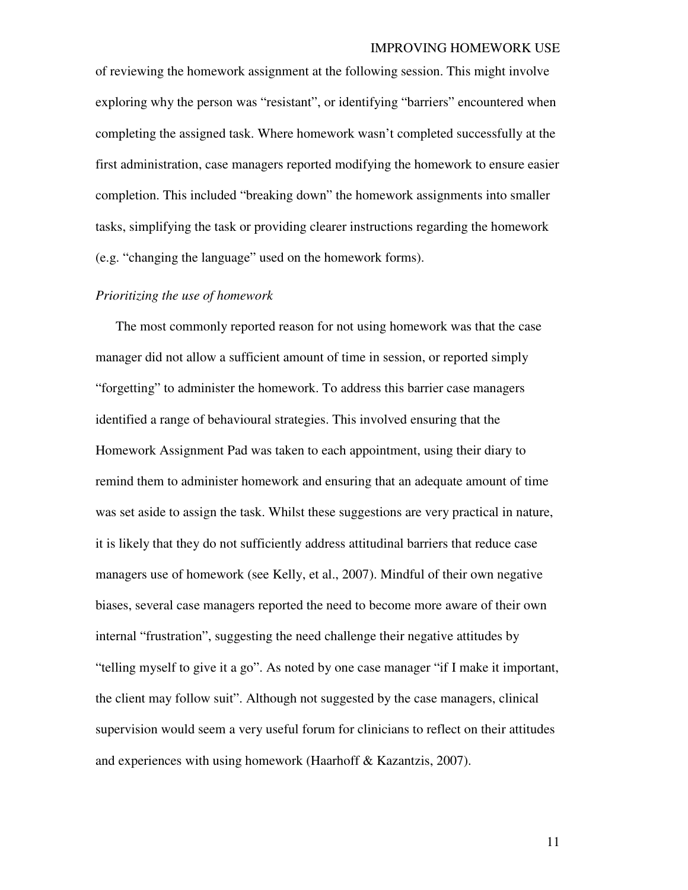of reviewing the homework assignment at the following session. This might involve exploring why the person was "resistant", or identifying "barriers" encountered when completing the assigned task. Where homework wasn't completed successfully at the first administration, case managers reported modifying the homework to ensure easier completion. This included "breaking down" the homework assignments into smaller tasks, simplifying the task or providing clearer instructions regarding the homework (e.g. "changing the language" used on the homework forms).

#### *Prioritizing the use of homework*

The most commonly reported reason for not using homework was that the case manager did not allow a sufficient amount of time in session, or reported simply "forgetting" to administer the homework. To address this barrier case managers identified a range of behavioural strategies. This involved ensuring that the Homework Assignment Pad was taken to each appointment, using their diary to remind them to administer homework and ensuring that an adequate amount of time was set aside to assign the task. Whilst these suggestions are very practical in nature, it is likely that they do not sufficiently address attitudinal barriers that reduce case managers use of homework (see Kelly, et al., 2007). Mindful of their own negative biases, several case managers reported the need to become more aware of their own internal "frustration", suggesting the need challenge their negative attitudes by "telling myself to give it a go". As noted by one case manager "if I make it important, the client may follow suit". Although not suggested by the case managers, clinical supervision would seem a very useful forum for clinicians to reflect on their attitudes and experiences with using homework (Haarhoff & Kazantzis, 2007).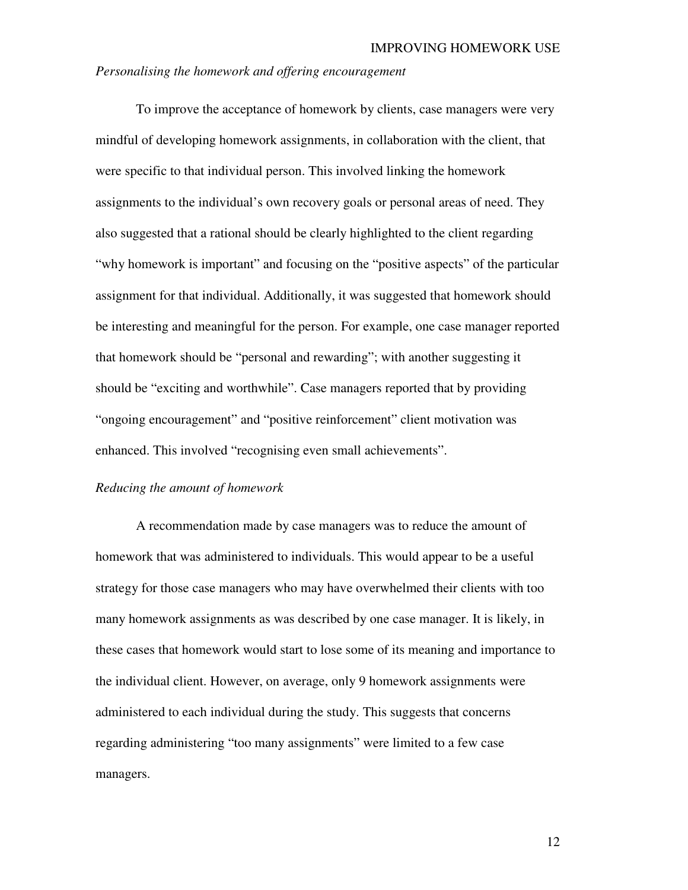#### *Personalising the homework and offering encouragement*

To improve the acceptance of homework by clients, case managers were very mindful of developing homework assignments, in collaboration with the client, that were specific to that individual person. This involved linking the homework assignments to the individual's own recovery goals or personal areas of need. They also suggested that a rational should be clearly highlighted to the client regarding "why homework is important" and focusing on the "positive aspects" of the particular assignment for that individual. Additionally, it was suggested that homework should be interesting and meaningful for the person. For example, one case manager reported that homework should be "personal and rewarding"; with another suggesting it should be "exciting and worthwhile". Case managers reported that by providing "ongoing encouragement" and "positive reinforcement" client motivation was enhanced. This involved "recognising even small achievements".

### *Reducing the amount of homework*

A recommendation made by case managers was to reduce the amount of homework that was administered to individuals. This would appear to be a useful strategy for those case managers who may have overwhelmed their clients with too many homework assignments as was described by one case manager. It is likely, in these cases that homework would start to lose some of its meaning and importance to the individual client. However, on average, only 9 homework assignments were administered to each individual during the study. This suggests that concerns regarding administering "too many assignments" were limited to a few case managers.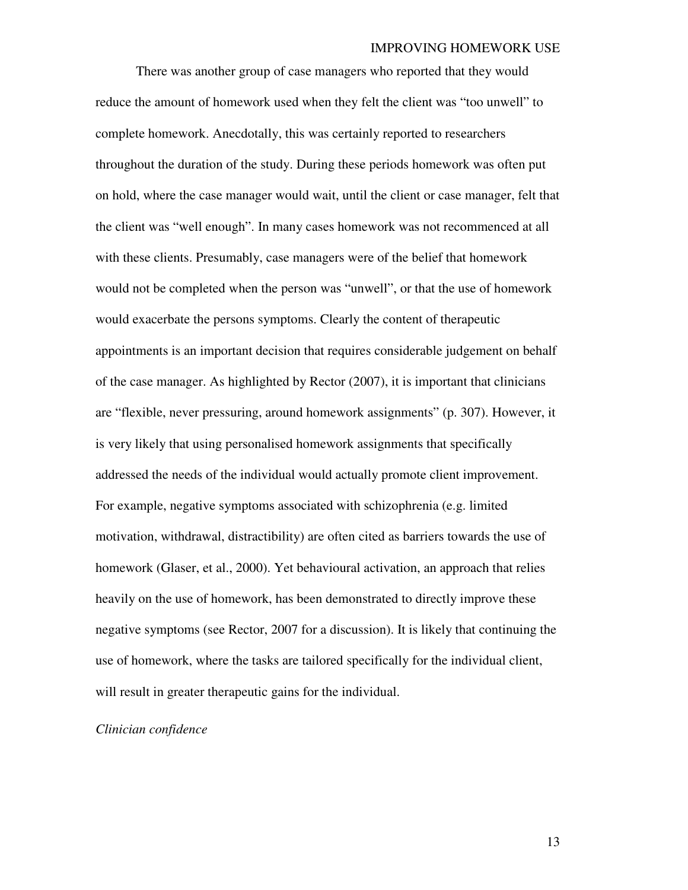There was another group of case managers who reported that they would reduce the amount of homework used when they felt the client was "too unwell" to complete homework. Anecdotally, this was certainly reported to researchers throughout the duration of the study. During these periods homework was often put on hold, where the case manager would wait, until the client or case manager, felt that the client was "well enough". In many cases homework was not recommenced at all with these clients. Presumably, case managers were of the belief that homework would not be completed when the person was "unwell", or that the use of homework would exacerbate the persons symptoms. Clearly the content of therapeutic appointments is an important decision that requires considerable judgement on behalf of the case manager. As highlighted by Rector (2007), it is important that clinicians are "flexible, never pressuring, around homework assignments" (p. 307). However, it is very likely that using personalised homework assignments that specifically addressed the needs of the individual would actually promote client improvement. For example, negative symptoms associated with schizophrenia (e.g. limited motivation, withdrawal, distractibility) are often cited as barriers towards the use of homework (Glaser, et al., 2000). Yet behavioural activation, an approach that relies heavily on the use of homework, has been demonstrated to directly improve these negative symptoms (see Rector, 2007 for a discussion). It is likely that continuing the use of homework, where the tasks are tailored specifically for the individual client, will result in greater therapeutic gains for the individual.

### *Clinician confidence*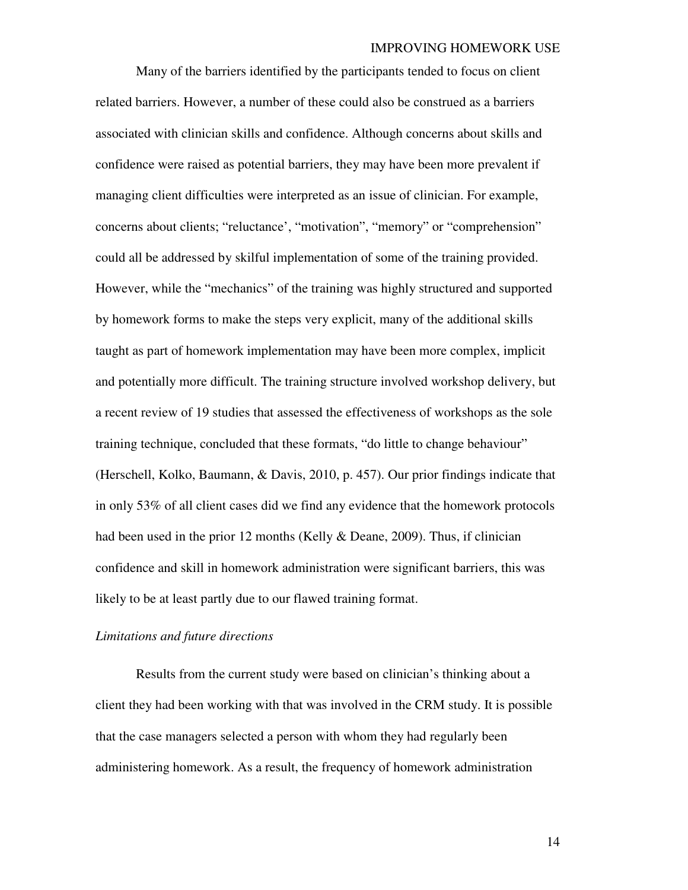Many of the barriers identified by the participants tended to focus on client related barriers. However, a number of these could also be construed as a barriers associated with clinician skills and confidence. Although concerns about skills and confidence were raised as potential barriers, they may have been more prevalent if managing client difficulties were interpreted as an issue of clinician. For example, concerns about clients; "reluctance', "motivation", "memory" or "comprehension" could all be addressed by skilful implementation of some of the training provided. However, while the "mechanics" of the training was highly structured and supported by homework forms to make the steps very explicit, many of the additional skills taught as part of homework implementation may have been more complex, implicit and potentially more difficult. The training structure involved workshop delivery, but a recent review of 19 studies that assessed the effectiveness of workshops as the sole training technique, concluded that these formats, "do little to change behaviour" (Herschell, Kolko, Baumann, & Davis, 2010, p. 457). Our prior findings indicate that in only 53% of all client cases did we find any evidence that the homework protocols had been used in the prior 12 months (Kelly & Deane, 2009). Thus, if clinician confidence and skill in homework administration were significant barriers, this was likely to be at least partly due to our flawed training format.

#### *Limitations and future directions*

Results from the current study were based on clinician's thinking about a client they had been working with that was involved in the CRM study. It is possible that the case managers selected a person with whom they had regularly been administering homework. As a result, the frequency of homework administration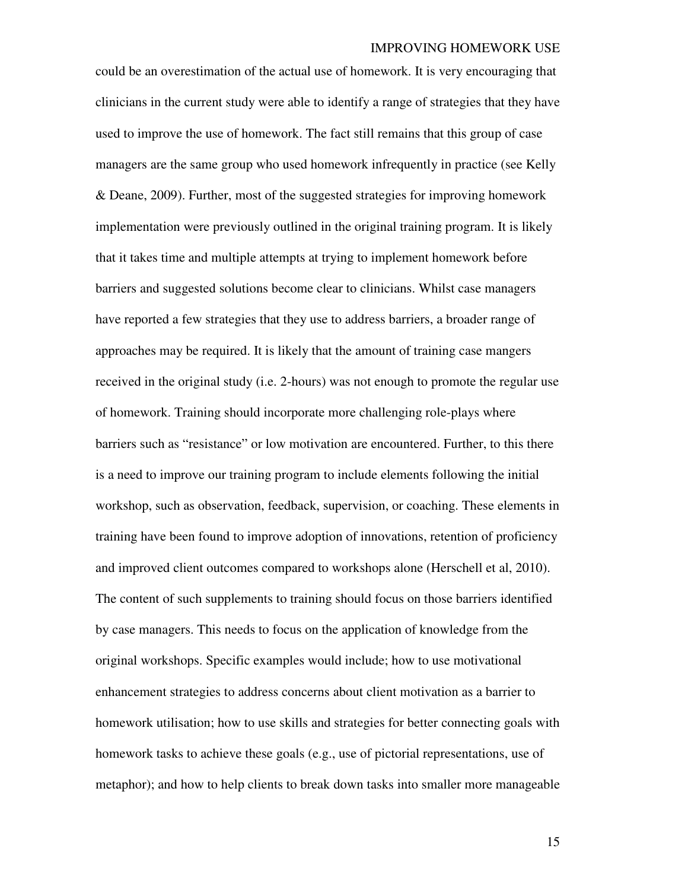could be an overestimation of the actual use of homework. It is very encouraging that clinicians in the current study were able to identify a range of strategies that they have used to improve the use of homework. The fact still remains that this group of case managers are the same group who used homework infrequently in practice (see Kelly & Deane, 2009). Further, most of the suggested strategies for improving homework implementation were previously outlined in the original training program. It is likely that it takes time and multiple attempts at trying to implement homework before barriers and suggested solutions become clear to clinicians. Whilst case managers have reported a few strategies that they use to address barriers, a broader range of approaches may be required. It is likely that the amount of training case mangers received in the original study (i.e. 2-hours) was not enough to promote the regular use of homework. Training should incorporate more challenging role-plays where barriers such as "resistance" or low motivation are encountered. Further, to this there is a need to improve our training program to include elements following the initial workshop, such as observation, feedback, supervision, or coaching. These elements in training have been found to improve adoption of innovations, retention of proficiency and improved client outcomes compared to workshops alone (Herschell et al, 2010). The content of such supplements to training should focus on those barriers identified by case managers. This needs to focus on the application of knowledge from the original workshops. Specific examples would include; how to use motivational enhancement strategies to address concerns about client motivation as a barrier to homework utilisation; how to use skills and strategies for better connecting goals with homework tasks to achieve these goals (e.g., use of pictorial representations, use of metaphor); and how to help clients to break down tasks into smaller more manageable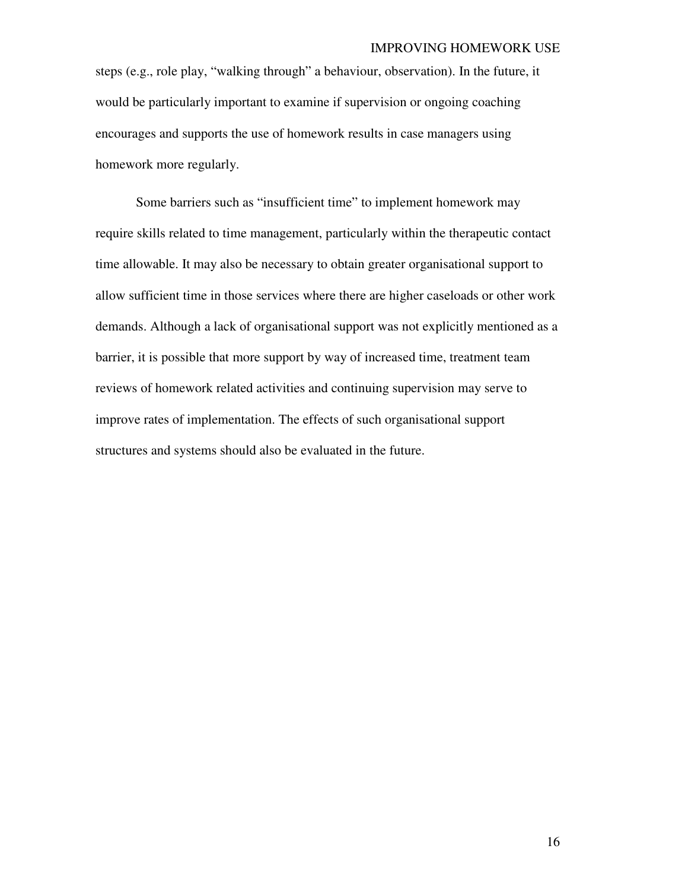steps (e.g., role play, "walking through" a behaviour, observation). In the future, it would be particularly important to examine if supervision or ongoing coaching encourages and supports the use of homework results in case managers using homework more regularly.

Some barriers such as "insufficient time" to implement homework may require skills related to time management, particularly within the therapeutic contact time allowable. It may also be necessary to obtain greater organisational support to allow sufficient time in those services where there are higher caseloads or other work demands. Although a lack of organisational support was not explicitly mentioned as a barrier, it is possible that more support by way of increased time, treatment team reviews of homework related activities and continuing supervision may serve to improve rates of implementation. The effects of such organisational support structures and systems should also be evaluated in the future.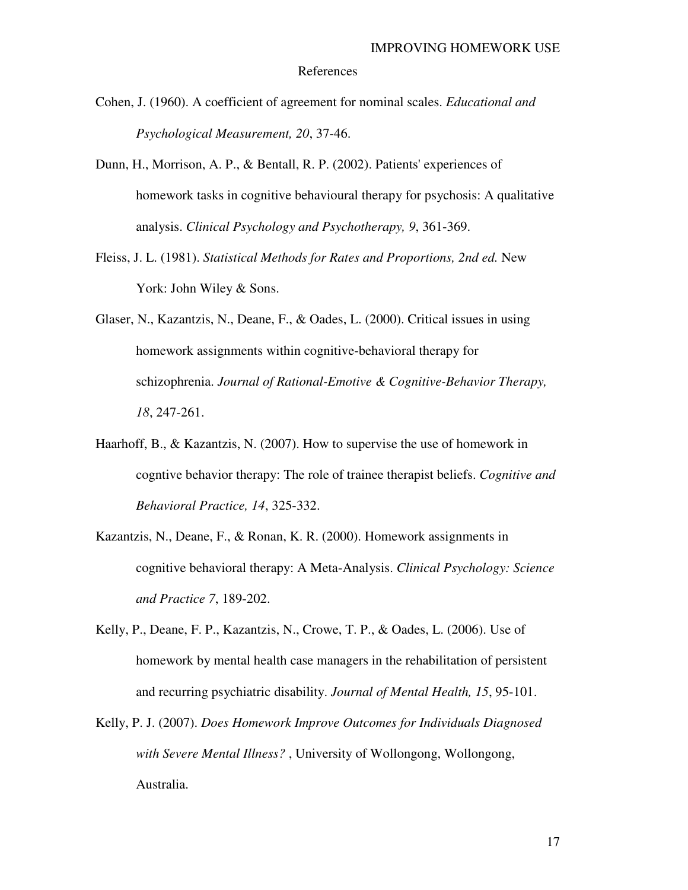#### References

- Cohen, J. (1960). A coefficient of agreement for nominal scales. *Educational and Psychological Measurement, 20*, 37-46.
- Dunn, H., Morrison, A. P., & Bentall, R. P. (2002). Patients' experiences of homework tasks in cognitive behavioural therapy for psychosis: A qualitative analysis. *Clinical Psychology and Psychotherapy, 9*, 361-369.
- Fleiss, J. L. (1981). *Statistical Methods for Rates and Proportions, 2nd ed.* New York: John Wiley & Sons.
- Glaser, N., Kazantzis, N., Deane, F., & Oades, L. (2000). Critical issues in using homework assignments within cognitive-behavioral therapy for schizophrenia. *Journal of Rational-Emotive & Cognitive-Behavior Therapy, 18*, 247-261.
- Haarhoff, B., & Kazantzis, N. (2007). How to supervise the use of homework in cogntive behavior therapy: The role of trainee therapist beliefs. *Cognitive and Behavioral Practice, 14*, 325-332.
- Kazantzis, N., Deane, F., & Ronan, K. R. (2000). Homework assignments in cognitive behavioral therapy: A Meta-Analysis. *Clinical Psychology: Science and Practice 7*, 189-202.
- Kelly, P., Deane, F. P., Kazantzis, N., Crowe, T. P., & Oades, L. (2006). Use of homework by mental health case managers in the rehabilitation of persistent and recurring psychiatric disability. *Journal of Mental Health, 15*, 95-101.
- Kelly, P. J. (2007). *Does Homework Improve Outcomes for Individuals Diagnosed with Severe Mental Illness?* , University of Wollongong, Wollongong, Australia.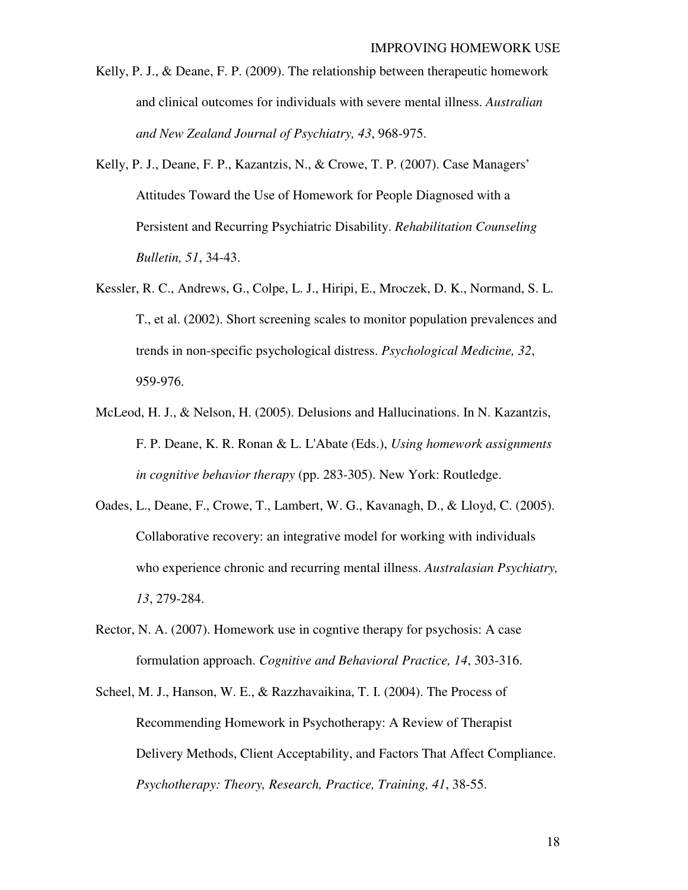- Kelly, P. J., & Deane, F. P. (2009). The relationship between therapeutic homework and clinical outcomes for individuals with severe mental illness. *Australian and New Zealand Journal of Psychiatry, 43*, 968-975.
- Kelly, P. J., Deane, F. P., Kazantzis, N., & Crowe, T. P. (2007). Case Managers' Attitudes Toward the Use of Homework for People Diagnosed with a Persistent and Recurring Psychiatric Disability. *Rehabilitation Counseling Bulletin, 51*, 34-43.
- Kessler, R. C., Andrews, G., Colpe, L. J., Hiripi, E., Mroczek, D. K., Normand, S. L. T., et al. (2002). Short screening scales to monitor population prevalences and trends in non-specific psychological distress. *Psychological Medicine, 32*, 959-976.
- McLeod, H. J., & Nelson, H. (2005). Delusions and Hallucinations. In N. Kazantzis, F. P. Deane, K. R. Ronan & L. L'Abate (Eds.), *Using homework assignments in cognitive behavior therapy* (pp. 283-305). New York: Routledge.
- Oades, L., Deane, F., Crowe, T., Lambert, W. G., Kavanagh, D., & Lloyd, C. (2005). Collaborative recovery: an integrative model for working with individuals who experience chronic and recurring mental illness. *Australasian Psychiatry, 13*, 279-284.
- Rector, N. A. (2007). Homework use in cogntive therapy for psychosis: A case formulation approach. *Cognitive and Behavioral Practice, 14*, 303-316.
- Scheel, M. J., Hanson, W. E., & Razzhavaikina, T. I. (2004). The Process of Recommending Homework in Psychotherapy: A Review of Therapist Delivery Methods, Client Acceptability, and Factors That Affect Compliance. *Psychotherapy: Theory, Research, Practice, Training, 41*, 38-55.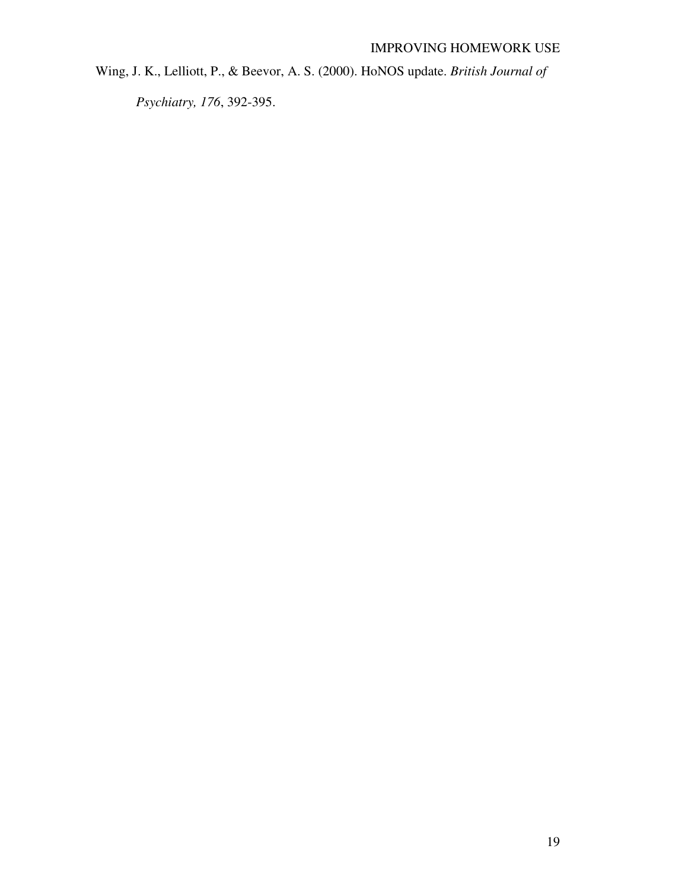Wing, J. K., Lelliott, P., & Beevor, A. S. (2000). HoNOS update. *British Journal of* 

*Psychiatry, 176*, 392-395.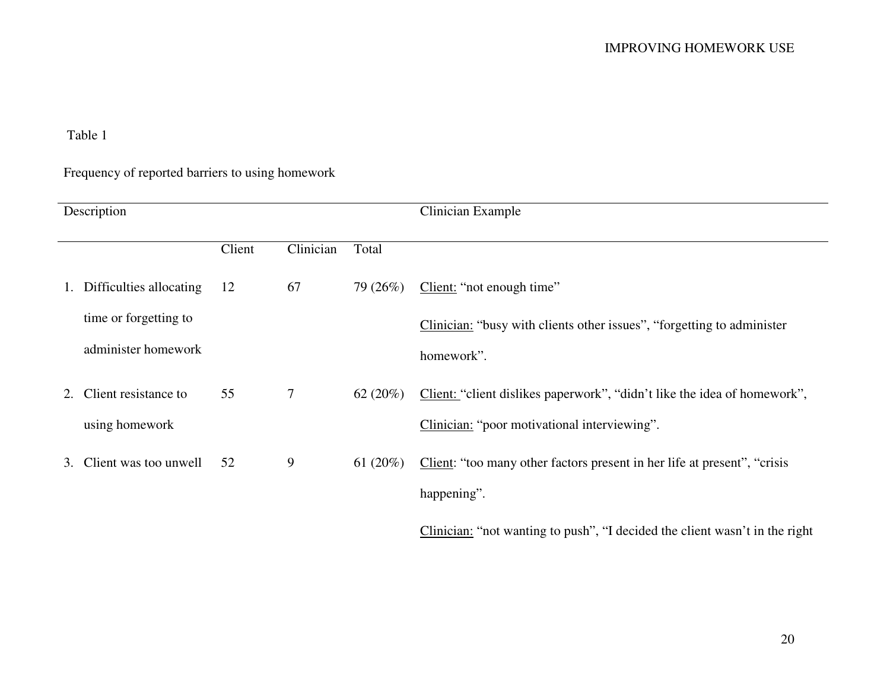# Table 1

# Frequency of reported barriers to using homework

| Description |                         |        |           |             | Clinician Example                                                           |  |
|-------------|-------------------------|--------|-----------|-------------|-----------------------------------------------------------------------------|--|
|             |                         | Client | Clinician | Total       |                                                                             |  |
| 1.          | Difficulties allocating | 12     | 67        | 79 (26%)    | Client: "not enough time"                                                   |  |
|             | time or forgetting to   |        |           |             | Clinician: "busy with clients other issues", "forgetting to administer      |  |
|             | administer homework     |        |           |             | homework".                                                                  |  |
| 2.          | Client resistance to    | 55     | $\tau$    | 62 $(20\%)$ | Client: "client dislikes paperwork", "didn't like the idea of homework",    |  |
|             | using homework          |        |           |             | Clinician: "poor motivational interviewing".                                |  |
| 3.          | Client was too unwell   | 52     | 9         | 61 $(20\%)$ | Client: "too many other factors present in her life at present", "crisis    |  |
|             |                         |        |           |             | happening".                                                                 |  |
|             |                         |        |           |             | Clinician: "not wanting to push", "I decided the client wasn't in the right |  |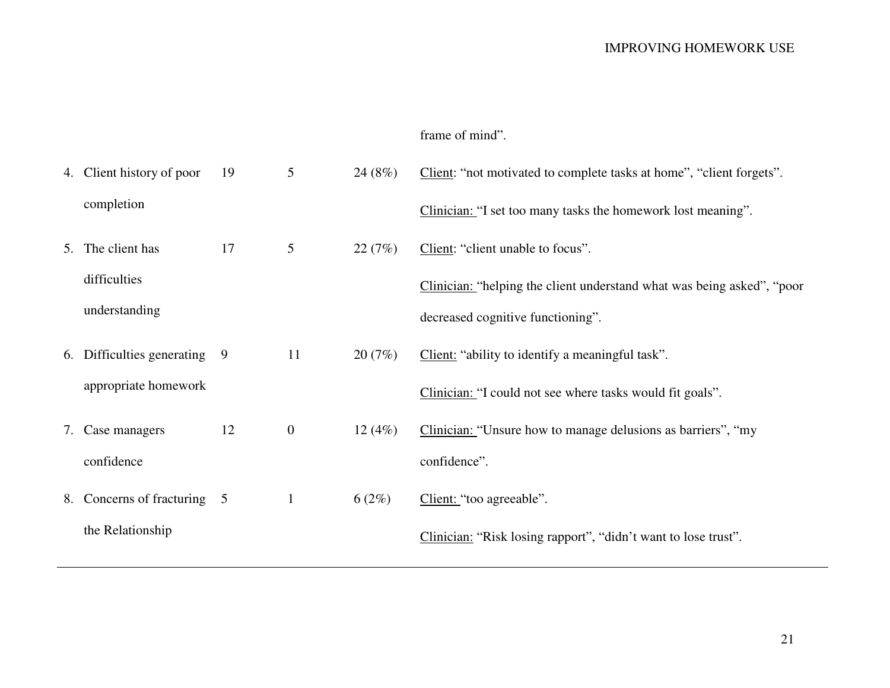# frame of mind".

| 4. Client history of poor   | 19 | 5              | 24(8%) | Client: "not motivated to complete tasks at home", "client forgets".   |
|-----------------------------|----|----------------|--------|------------------------------------------------------------------------|
| completion                  |    |                |        | Clinician: "I set too many tasks the homework lost meaning".           |
| 5. The client has           | 17 | 5              | 22(7%) | Client: "client unable to focus".                                      |
| difficulties                |    |                |        | Clinician: "helping the client understand what was being asked", "poor |
| understanding               |    |                |        | decreased cognitive functioning".                                      |
| 6. Difficulties generating  | 9  | 11             | 20(7%) | Client: "ability to identify a meaningful task".                       |
| appropriate homework        |    |                |        | Clinician: "I could not see where tasks would fit goals".              |
| 7. Case managers            | 12 | $\overline{0}$ | 12(4%) | Clinician: "Unsure how to manage delusions as barriers", "my           |
| confidence                  |    |                |        | confidence".                                                           |
| 8. Concerns of fracturing 5 |    | $\mathbf{1}$   | 6(2%)  | Client: "too agreeable".                                               |
| the Relationship            |    |                |        | Clinician: "Risk losing rapport", "didn't want to lose trust".         |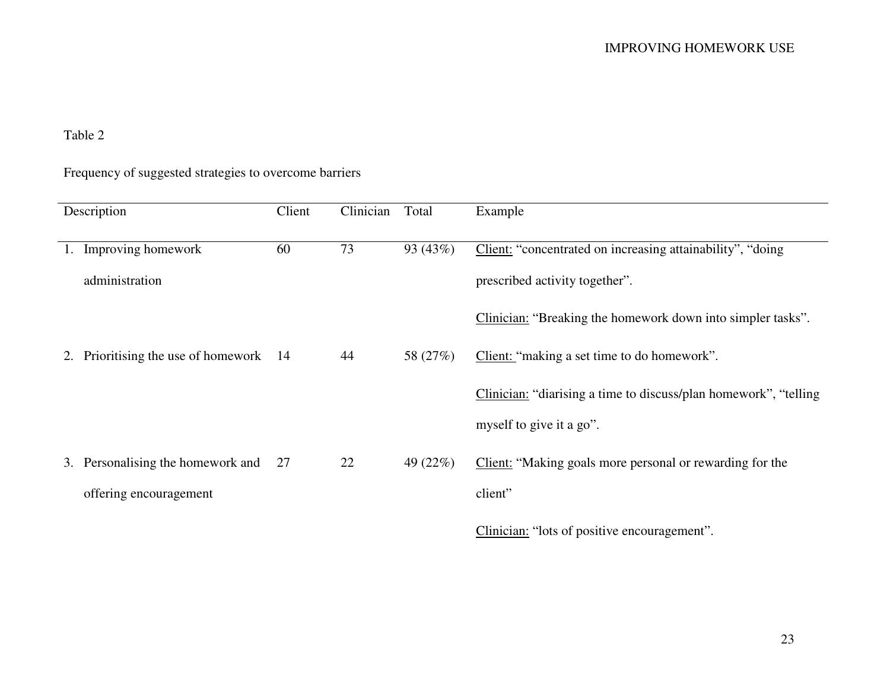# Table 2

# Frequency of suggested strategies to overcome barriers

| Description |                                     | Client | Clinician | Total    | Example                                                          |
|-------------|-------------------------------------|--------|-----------|----------|------------------------------------------------------------------|
|             |                                     |        |           |          |                                                                  |
| 1.          | Improving homework                  | 60     | 73        | 93 (43%) | Client: "concentrated on increasing attainability", "doing       |
|             | administration                      |        |           |          | prescribed activity together".                                   |
|             |                                     |        |           |          | Clinician: "Breaking the homework down into simpler tasks".      |
| 2.          | Prioritising the use of homework 14 |        | 44        | 58 (27%) | Client: "making a set time to do homework".                      |
|             |                                     |        |           |          | Clinician: "diarising a time to discuss/plan homework", "telling |
|             |                                     |        |           |          | myself to give it a go".                                         |
| 3.          | Personalising the homework and      | 27     | 22        | 49 (22%) | Client: "Making goals more personal or rewarding for the         |
|             | offering encouragement              |        |           |          | client"                                                          |
|             |                                     |        |           |          | Clinician: "lots of positive encouragement".                     |